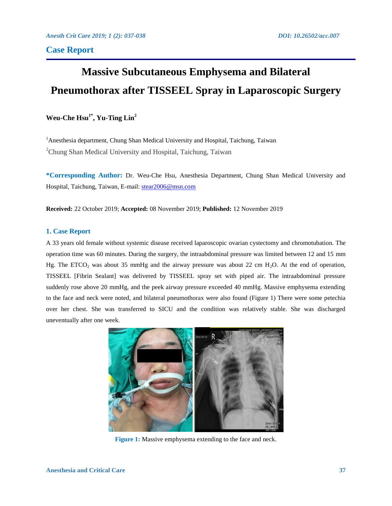# **Massive Subcutaneous Emphysema and Bilateral Pneumothorax after TISSEEL Spray in Laparoscopic Surgery**

# **Weu-Che Hsu1\* , Yu-Ting Lin<sup>2</sup>**

<sup>1</sup> Anesthesia department, Chung Shan Medical University and Hospital, Taichung, Taiwan <sup>2</sup>Chung Shan Medical University and Hospital, Taichung, Taiwan

**\*Corresponding Author:** Dr. Weu-Che Hsu, Anesthesia Department, Chung Shan Medical University and Hospital, Taichung, Taiwan, E-mail: [stear2006@msn.com](mailto:stear2006@msn.com)

**Received:** 22 October 2019; **Accepted:** 08 November 2019; **Published:** 12 November 2019

## **1. Case Report**

A 33 years old female without systemic disease received laparoscopic ovarian cystectomy and chromotubation. The operation time was 60 minutes. During the surgery, the intraabdominal pressure was limited between 12 and 15 mm Hg. The ETCO<sub>2</sub> was about 35 mmHg and the airway pressure was about 22 cm H<sub>2</sub>O. At the end of operation, TISSEEL [Fibrin Sealant] was delivered by TISSEEL spray set with piped air. The intraabdominal pressure suddenly rose above 20 mmHg, and the peek airway pressure exceeded 40 mmHg. Massive emphysema extending to the face and neck were noted, and bilateral pneumothorax were also found (Figure 1) There were some petechia over her chest. She was transferred to SICU and the condition was relatively stable. She was discharged uneventually after one week.



**Figure 1:** Massive emphysema extending to the face and neck.